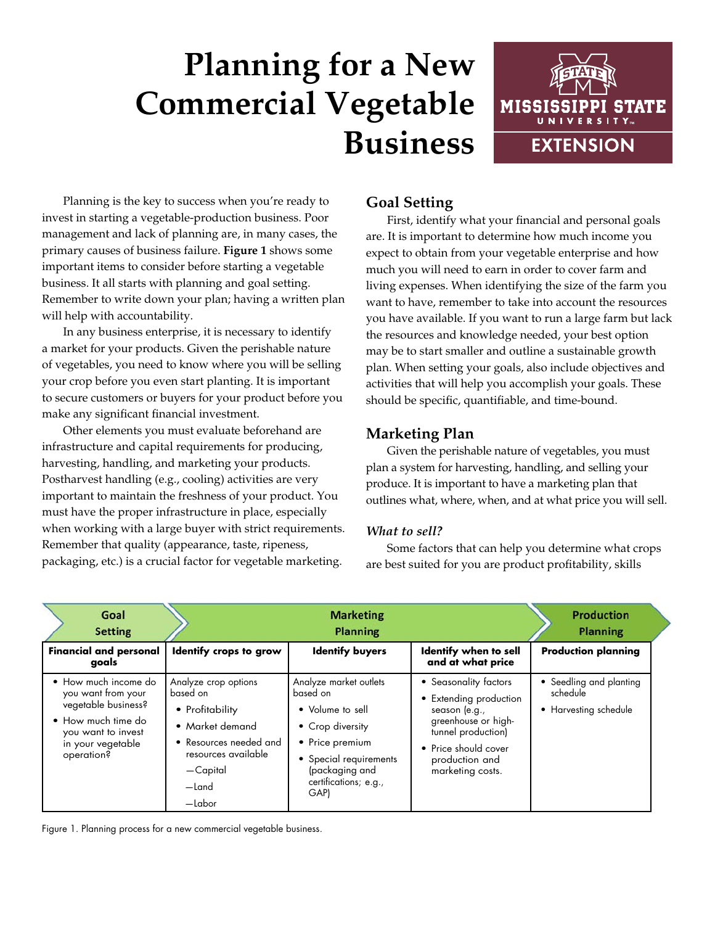# **Planning for a New Commercial Vegetable Business**



Planning is the key to success when you're ready to invest in starting a vegetable-production business. Poor management and lack of planning are, in many cases, the primary causes of business failure. **Figure 1** shows some important items to consider before starting a vegetable business. It all starts with planning and goal setting. Remember to write down your plan; having a written plan will help with accountability.

In any business enterprise, it is necessary to identify a market for your products. Given the perishable nature of vegetables, you need to know where you will be selling your crop before you even start planting. It is important to secure customers or buyers for your product before you make any significant financial investment.

Other elements you must evaluate beforehand are infrastructure and capital requirements for producing, harvesting, handling, and marketing your products. Postharvest handling (e.g., cooling) activities are very important to maintain the freshness of your product. You must have the proper infrastructure in place, especially when working with a large buyer with strict requirements. Remember that quality (appearance, taste, ripeness, packaging, etc.) is a crucial factor for vegetable marketing.

# **Goal Setting**

First, identify what your financial and personal goals are. It is important to determine how much income you expect to obtain from your vegetable enterprise and how much you will need to earn in order to cover farm and living expenses. When identifying the size of the farm you want to have, remember to take into account the resources you have available. If you want to run a large farm but lack the resources and knowledge needed, your best option may be to start smaller and outline a sustainable growth plan. When setting your goals, also include objectives and activities that will help you accomplish your goals. These should be specific, quantifiable, and time-bound.

# **Marketing Plan**

Given the perishable nature of vegetables, you must plan a system for harvesting, handling, and selling your produce. It is important to have a marketing plan that outlines what, where, when, and at what price you will sell.

## *What to sell?*

Some factors that can help you determine what crops are best suited for you are product profitability, skills

| Goal<br><b>Setting</b>                                                                                                                           |                                                                                                                                                                          | <b>Marketing</b><br><b>Planning</b>                                                                                                                                        |                                                                                                                                                                             | <b>Production</b><br><b>Planning</b>                         |
|--------------------------------------------------------------------------------------------------------------------------------------------------|--------------------------------------------------------------------------------------------------------------------------------------------------------------------------|----------------------------------------------------------------------------------------------------------------------------------------------------------------------------|-----------------------------------------------------------------------------------------------------------------------------------------------------------------------------|--------------------------------------------------------------|
| <b>Financial and personal</b><br>goals                                                                                                           | Identify crops to grow                                                                                                                                                   | <b>Identify buyers</b>                                                                                                                                                     | Identify when to sell<br>and at what price                                                                                                                                  | <b>Production planning</b>                                   |
| • How much income do<br>you want from your<br>vegetable business?<br>• How much time do<br>you want to invest<br>in your vegetable<br>operation? | Analyze crop options<br>based on<br>• Profitability<br>• Market demand<br>• Resources needed and<br>resources available<br>-Capital<br>$-\text{Land}$<br>$-\text{labor}$ | Analyze market outlets<br>based on<br>• Volume to sell<br>• Crop diversity<br>• Price premium<br>• Special requirements<br>(packaging and<br>certifications; e.g.,<br>GAP) | • Seasonality factors<br>• Extending production<br>season (e.g.,<br>greenhouse or high-<br>tunnel production)<br>• Price should cover<br>production and<br>marketing costs. | • Seedling and planting<br>schedule<br>• Harvesting schedule |

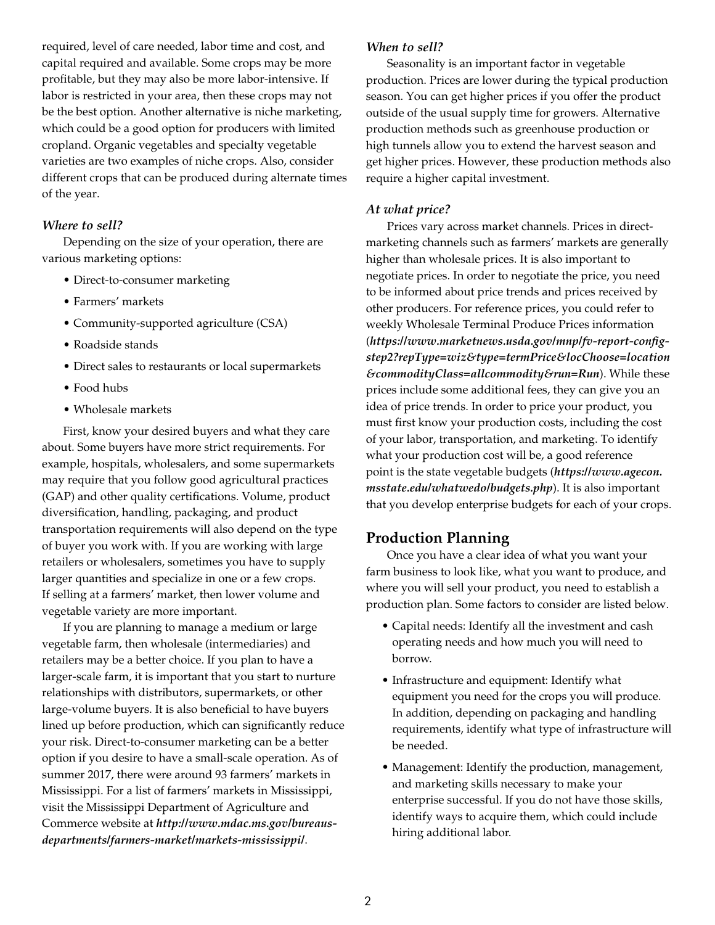required, level of care needed, labor time and cost, and capital required and available. Some crops may be more profitable, but they may also be more labor-intensive. If labor is restricted in your area, then these crops may not be the best option. Another alternative is niche marketing, which could be a good option for producers with limited cropland. Organic vegetables and specialty vegetable varieties are two examples of niche crops. Also, consider different crops that can be produced during alternate times of the year.

#### *Where to sell?*

Depending on the size of your operation, there are various marketing options:

- Direct-to-consumer marketing
- Farmers' markets
- Community-supported agriculture (CSA)
- Roadside stands
- Direct sales to restaurants or local supermarkets
- Food hubs
- Wholesale markets

First, know your desired buyers and what they care about. Some buyers have more strict requirements. For example, hospitals, wholesalers, and some supermarkets may require that you follow good agricultural practices (GAP) and other quality certifications. Volume, product diversification, handling, packaging, and product transportation requirements will also depend on the type of buyer you work with. If you are working with large retailers or wholesalers, sometimes you have to supply larger quantities and specialize in one or a few crops. If selling at a farmers' market, then lower volume and vegetable variety are more important.

If you are planning to manage a medium or large vegetable farm, then wholesale (intermediaries) and retailers may be a better choice. If you plan to have a larger-scale farm, it is important that you start to nurture relationships with distributors, supermarkets, or other large-volume buyers. It is also beneficial to have buyers lined up before production, which can significantly reduce your risk. Direct-to-consumer marketing can be a better option if you desire to have a small-scale operation. As of summer 2017, there were around 93 farmers' markets in Mississippi. For a list of farmers' markets in Mississippi, visit the Mississippi Department of Agriculture and Commerce website at *[http://www.mdac.ms.gov/bureaus](http://www.mdac.ms.gov/bureaus-departments/farmers-market/markets-mississippi/)[departments/farmers-market/markets-mississippi/](http://www.mdac.ms.gov/bureaus-departments/farmers-market/markets-mississippi/)*.

#### *When to sell?*

Seasonality is an important factor in vegetable production. Prices are lower during the typical production season. You can get higher prices if you offer the product outside of the usual supply time for growers. Alternative production methods such as greenhouse production or high tunnels allow you to extend the harvest season and get higher prices. However, these production methods also require a higher capital investment.

#### *At what price?*

Prices vary across market channels. Prices in directmarketing channels such as farmers' markets are generally higher than wholesale prices. It is also important to negotiate prices. In order to negotiate the price, you need to be informed about price trends and prices received by other producers. For reference prices, you could refer to weekly Wholesale Terminal Produce Prices information (*[https://www.marketnews.usda.gov/mnp/fv-report-config](https://www.marketnews.usda.gov/mnp/fv-report-config-step2?repType=wiz&type=termPrice&locChoose=location&commodityClass=allcommodity&run=Run)[step2?repType=wiz&type=termPrice&locChoose=location](https://www.marketnews.usda.gov/mnp/fv-report-config-step2?repType=wiz&type=termPrice&locChoose=location&commodityClass=allcommodity&run=Run) [&commodityClass=allcommodity&run=Run](https://www.marketnews.usda.gov/mnp/fv-report-config-step2?repType=wiz&type=termPrice&locChoose=location&commodityClass=allcommodity&run=Run)*). While these prices include some additional fees, they can give you an idea of price trends. In order to price your product, you must first know your production costs, including the cost of your labor, transportation, and marketing. To identify what your production cost will be, a good reference point is the state vegetable budgets (*https://www.agecon. msstate.edu/whatwedo/budgets.php*). It is also important that you develop enterprise budgets for each of your crops.

## **Production Planning**

Once you have a clear idea of what you want your farm business to look like, what you want to produce, and where you will sell your product, you need to establish a production plan. Some factors to consider are listed below.

- Capital needs: Identify all the investment and cash operating needs and how much you will need to borrow.
- Infrastructure and equipment: Identify what equipment you need for the crops you will produce. In addition, depending on packaging and handling requirements, identify what type of infrastructure will be needed.
- Management: Identify the production, management, and marketing skills necessary to make your enterprise successful. If you do not have those skills, identify ways to acquire them, which could include hiring additional labor.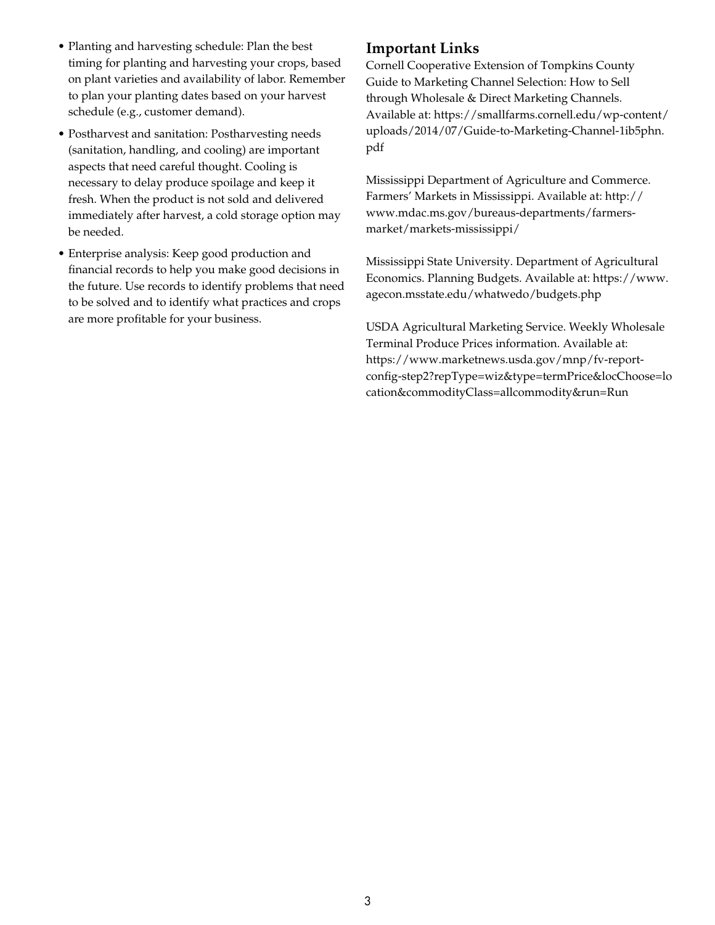- Planting and harvesting schedule: Plan the best timing for planting and harvesting your crops, based on plant varieties and availability of labor. Remember to plan your planting dates based on your harvest schedule (e.g., customer demand).
- Postharvest and sanitation: Postharvesting needs (sanitation, handling, and cooling) are important aspects that need careful thought. Cooling is necessary to delay produce spoilage and keep it fresh. When the product is not sold and delivered immediately after harvest, a cold storage option may be needed.
- Enterprise analysis: Keep good production and financial records to help you make good decisions in the future. Use records to identify problems that need to be solved and to identify what practices and crops are more profitable for your business.

### **Important Links**

Cornell Cooperative Extension of Tompkins County Guide to Marketing Channel Selection: How to Sell through Wholesale & Direct Marketing Channels. Available at: https://smallfarms.cornell.edu/wp-content/ uploads/2014/07/Guide-to-Marketing-Channel-1ib5phn. pdf

Mississippi Department of Agriculture and Commerce. Farmers' Markets in Mississippi. Available at: [http://](http://www.mdac.ms.gov/bureaus-departments/farmers-market/markets-mississippi/) [www.mdac.ms.gov/bureaus-departments/farmers](http://www.mdac.ms.gov/bureaus-departments/farmers-market/markets-mississippi/)[market/markets-mississippi/](http://www.mdac.ms.gov/bureaus-departments/farmers-market/markets-mississippi/)

Mississippi State University. Department of Agricultural Economics. Planning Budgets. Available at: https://www. agecon.msstate.edu/whatwedo/budgets.php

USDA Agricultural Marketing Service. Weekly Wholesale Terminal Produce Prices information. Available at: [https://www.marketnews.usda.gov/mnp/fv-report](https://www.marketnews.usda.gov/mnp/fv-report-config-step2?repType=wiz&type=termPrice&locChoose=location&commodityClass=allcommodity&run=Run)[config-step2?repType=wiz&type=termPrice&locChoose=lo](https://www.marketnews.usda.gov/mnp/fv-report-config-step2?repType=wiz&type=termPrice&locChoose=location&commodityClass=allcommodity&run=Run) [cation&commodityClass=allcommodity&run=Run](https://www.marketnews.usda.gov/mnp/fv-report-config-step2?repType=wiz&type=termPrice&locChoose=location&commodityClass=allcommodity&run=Run)